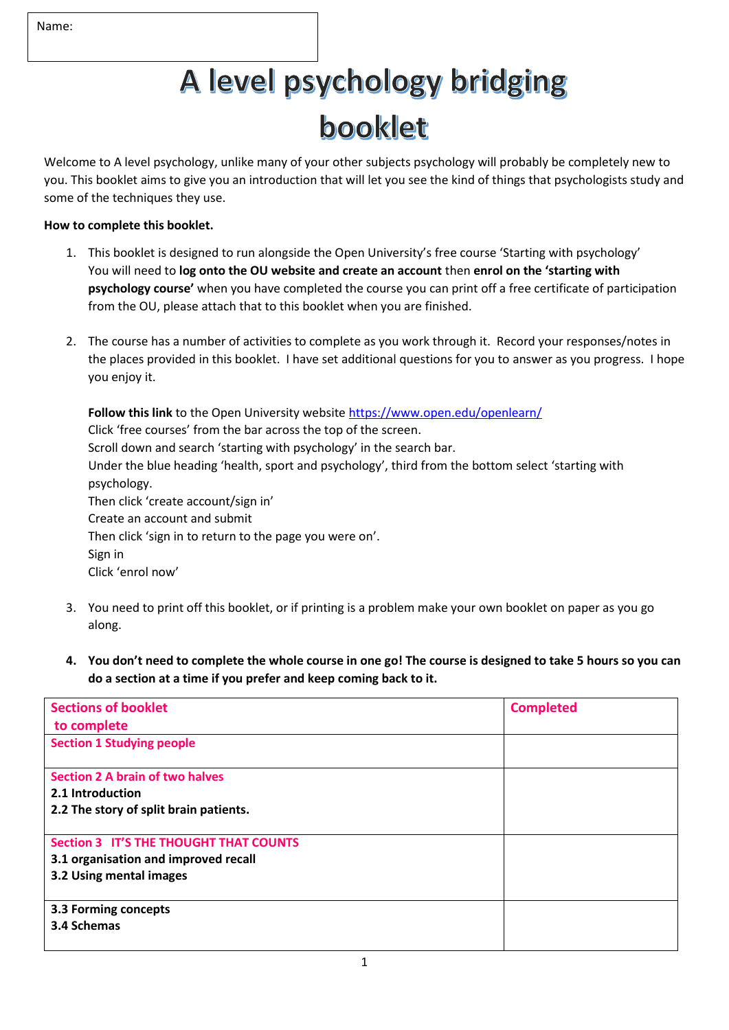# A level psychology bridging booklet

Welcome to A level psychology, unlike many of your other subjects psychology will probably be completely new to you. This booklet aims to give you an introduction that will let you see the kind of things that psychologists study and some of the techniques they use.

### **How to complete this booklet.**

- 1. This booklet is designed to run alongside the Open University's free course 'Starting with psychology' You will need to **log onto the OU website and create an account** then **enrol on the 'starting with psychology course'** when you have completed the course you can print off a free certificate of participation from the OU, please attach that to this booklet when you are finished.
- 2. The course has a number of activities to complete as you work through it. Record your responses/notes in the places provided in this booklet. I have set additional questions for you to answer as you progress. I hope you enjoy it.

**Follow this link** to the Open University website <https://www.open.edu/openlearn/> Click 'free courses' from the bar across the top of the screen. Scroll down and search 'starting with psychology' in the search bar. Under the blue heading 'health, sport and psychology', third from the bottom select 'starting with psychology. Then click 'create account/sign in' Create an account and submit Then click 'sign in to return to the page you were on'. Sign in Click 'enrol now'

- 3. You need to print off this booklet, or if printing is a problem make your own booklet on paper as you go along.
- **4. You don't need to complete the whole course in one go! The course is designed to take 5 hours so you can do a section at a time if you prefer and keep coming back to it.**

| <b>Sections of booklet</b>                    | <b>Completed</b> |
|-----------------------------------------------|------------------|
| to complete                                   |                  |
| <b>Section 1 Studying people</b>              |                  |
|                                               |                  |
| <b>Section 2 A brain of two halves</b>        |                  |
| 2.1 Introduction                              |                  |
| 2.2 The story of split brain patients.        |                  |
|                                               |                  |
| <b>Section 3 IT'S THE THOUGHT THAT COUNTS</b> |                  |
| 3.1 organisation and improved recall          |                  |
| 3.2 Using mental images                       |                  |
|                                               |                  |
| 3.3 Forming concepts                          |                  |
| 3.4 Schemas                                   |                  |
|                                               |                  |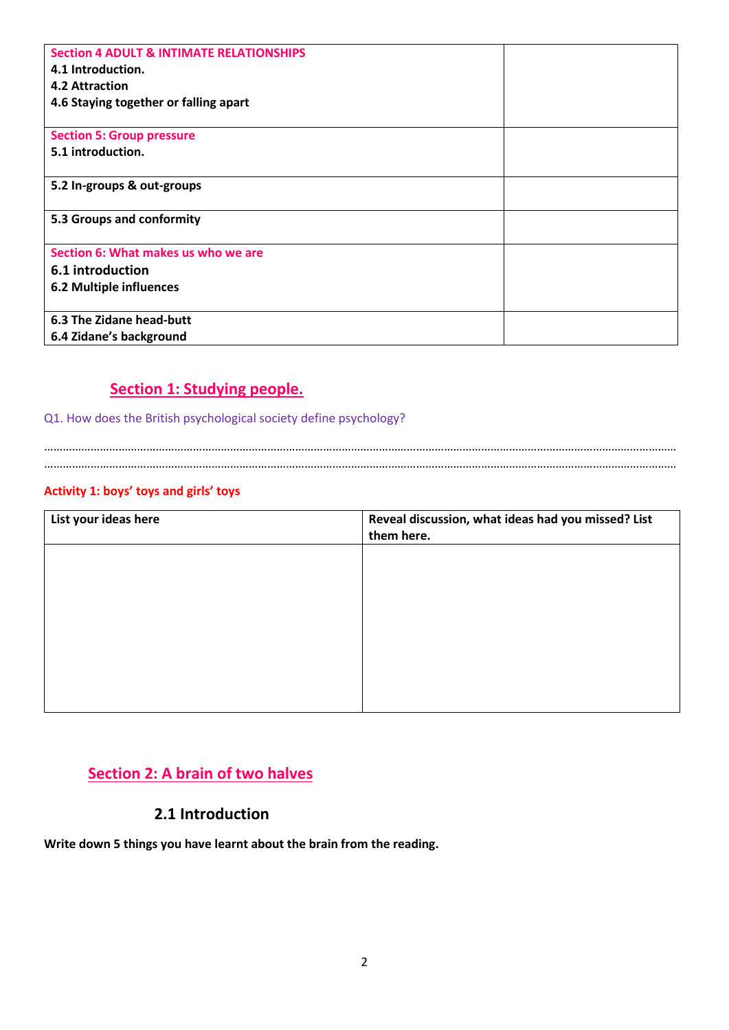| <b>Section 4 ADULT &amp; INTIMATE RELATIONSHIPS</b> |  |
|-----------------------------------------------------|--|
| 4.1 Introduction.                                   |  |
| 4.2 Attraction                                      |  |
| 4.6 Staying together or falling apart               |  |
|                                                     |  |
| <b>Section 5: Group pressure</b>                    |  |
| 5.1 introduction.                                   |  |
|                                                     |  |
| 5.2 In-groups & out-groups                          |  |
|                                                     |  |
| 5.3 Groups and conformity                           |  |
|                                                     |  |
| Section 6: What makes us who we are                 |  |
| 6.1 introduction                                    |  |
| <b>6.2 Multiple influences</b>                      |  |
|                                                     |  |
| 6.3 The Zidane head-butt                            |  |
| 6.4 Zidane's background                             |  |

### **Section 1: Studying people.**

Q1. How does the British psychological society define psychology?

…………………………………………………………………………………………………………………………………………………………………………………… ……………………………………………………………………………………………………………………………………………………………………………………

### **Activity 1: boys' toys and girls' toys**

| List your ideas here | Reveal discussion, what ideas had you missed? List |
|----------------------|----------------------------------------------------|
|                      | them here.                                         |
|                      |                                                    |
|                      |                                                    |
|                      |                                                    |
|                      |                                                    |
|                      |                                                    |
|                      |                                                    |
|                      |                                                    |
|                      |                                                    |
|                      |                                                    |
|                      |                                                    |

### **Section 2: A brain of two halves**

### **2.1 Introduction**

**Write down 5 things you have learnt about the brain from the reading.**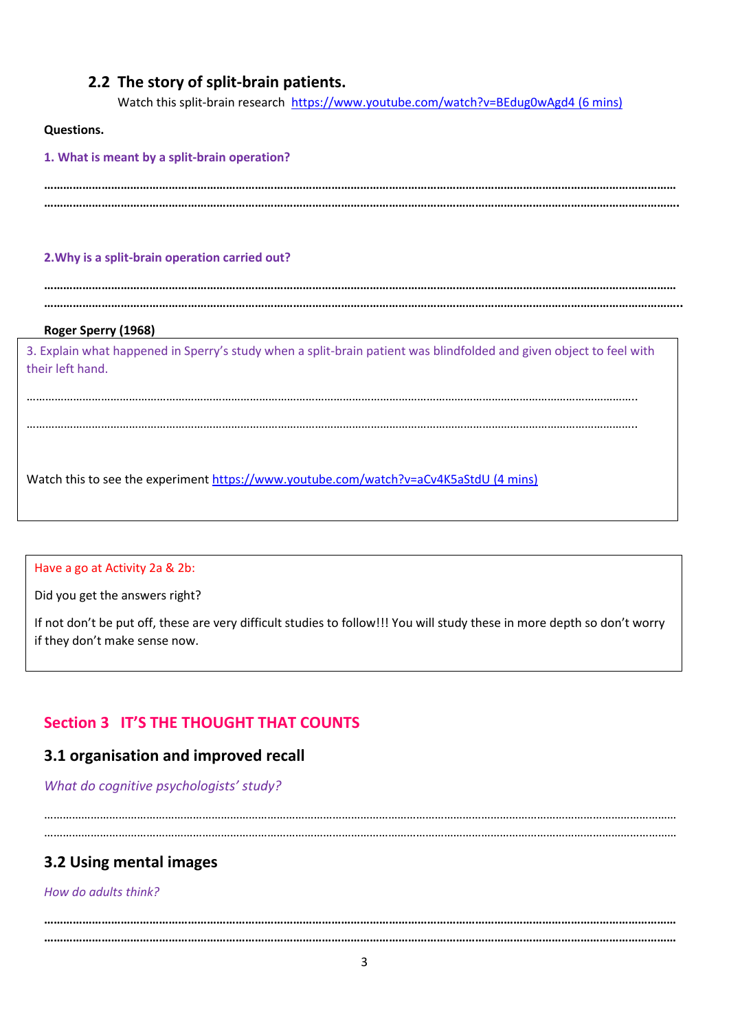### **2.2 The story of split-brain patients.**

Watch this split-brain research <https://www.youtube.com/watch?v=BEdug0wAgd4> (6 mins)

#### **Questions.**

**1. What is meant by a split-brain operation? ……………………………………………………………………………………………………………………………………………………………………………… ……………………………………………………………………………………………………………………………………………………………………………….**

**………………………………………………………………………………………………………………………………………………………………………………**

### **2.Why is a split-brain operation carried out?**

**………………………………………………………………………………………………………………………………………………………………………………..**

#### **Roger Sperry (1968)**

3. Explain what happened in Sperry's study when a split-brain patient was blindfolded and given object to feel with their left hand.

……………………………………………………………………………………………………………………………………………………………………………..

……………………………………………………………………………………………………………………………………………………………………………..

Watch this to see the experiment<https://www.youtube.com/watch?v=aCv4K5aStdU> (4 mins)

#### Have a go at Activity 2a & 2b:

Did you get the answers right?

If not don't be put off, these are very difficult studies to follow!!! You will study these in more depth so don't worry if they don't make sense now.

### **Section 3 IT'S THE THOUGHT THAT COUNTS**

### **3.1 organisation and improved recall**

*What do cognitive psychologists' study?*

…………………………………………………………………………………………………………………………………………………………………………………… ……………………………………………………………………………………………………………………………………………………………………………………

### **3.2 Using mental images**

*How do adults think?*

**……………………………………………………………………………………………………………………………………………………………………………… ………………………………………………………………………………………………………………………………………………………………………………**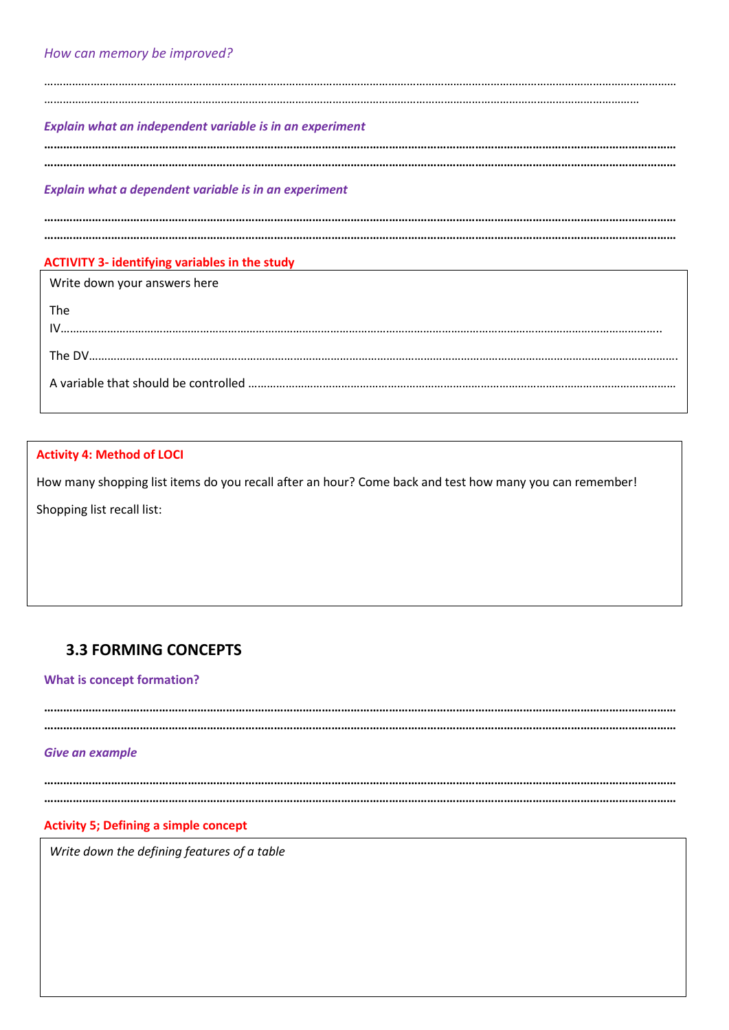…………………………………………………………………………………………………………………………………………………………………………………… …………………………………………………………………………………………………………………………………………………………………………

#### *Explain what an independent variable is in an experiment*

**……………………………………………………………………………………………………………………………………………………………………………… ………………………………………………………………………………………………………………………………………………………………………………**

#### *Explain what a dependent variable is in an experiment*

**……………………………………………………………………………………………………………………………………………………………………………… ………………………………………………………………………………………………………………………………………………………………………………**

### **ACTIVITY 3- identifying variables in the study**

Write down your answers here

# The IV………………………………………………………………………………………………………………………………………………………………………….. The DV………………………………………………………………………………………………………………………………………………………………………. A variable that should be controlled …………………………………………………………………………………………………………………………

### **Activity 4: Method of LOCI**

How many shopping list items do you recall after an hour? Come back and test how many you can remember!

Shopping list recall list:

### **3.3 FORMING CONCEPTS**

#### **What is concept formation?**

**……………………………………………………………………………………………………………………………………………………………………………… ………………………………………………………………………………………………………………………………………………………………………………**

#### *Give an example*

**……………………………………………………………………………………………………………………………………………………………………………… ………………………………………………………………………………………………………………………………………………………………………………**

#### **Activity 5; Defining a simple concept**

*Write down the defining features of a table*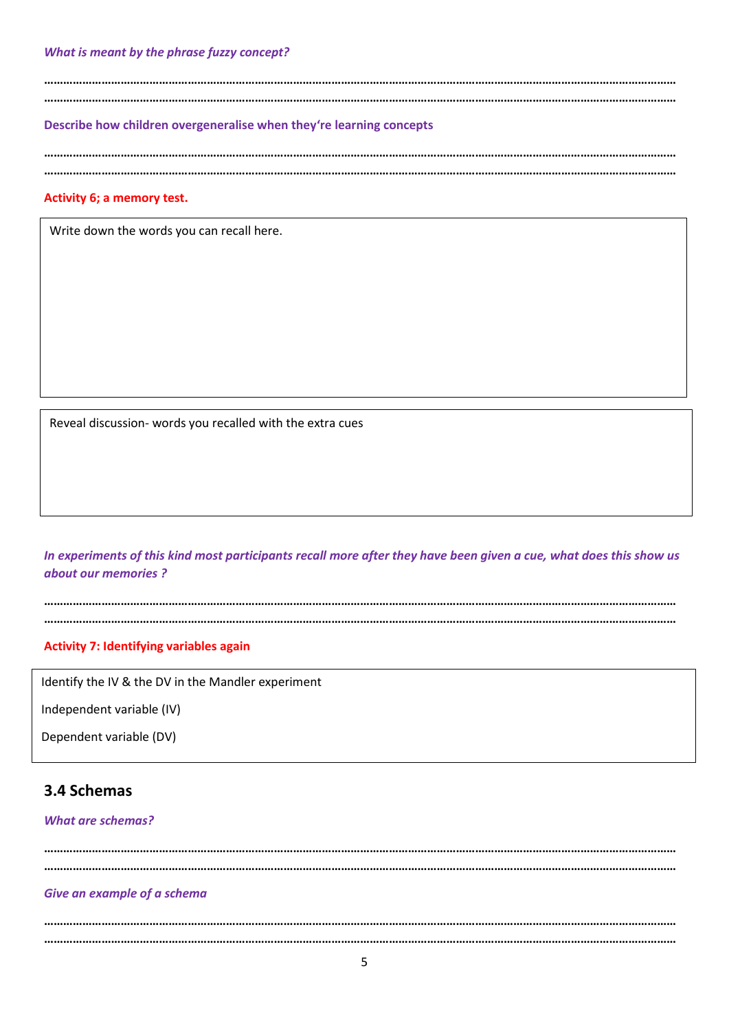**……………………………………………………………………………………………………………………………………………………………………………… ………………………………………………………………………………………………………………………………………………………………………………**

**Describe how children overgeneralise when they're learning concepts**

**……………………………………………………………………………………………………………………………………………………………………………… ………………………………………………………………………………………………………………………………………………………………………………**

#### **Activity 6; a memory test.**

Write down the words you can recall here.

Reveal discussion- words you recalled with the extra cues

*In experiments of this kind most participants recall more after they have been given a cue, what does this show us about our memories ?*

**……………………………………………………………………………………………………………………………………………………………………………… ………………………………………………………………………………………………………………………………………………………………………………**

### **Activity 7: Identifying variables again**

Identify the IV & the DV in the Mandler experiment

Independent variable (IV)

Dependent variable (DV)

### **3.4 Schemas**

#### *What are schemas?*

**……………………………………………………………………………………………………………………………………………………………………………… ………………………………………………………………………………………………………………………………………………………………………………**

#### *Give an example of a schema*

**……………………………………………………………………………………………………………………………………………………………………………… ………………………………………………………………………………………………………………………………………………………………………………**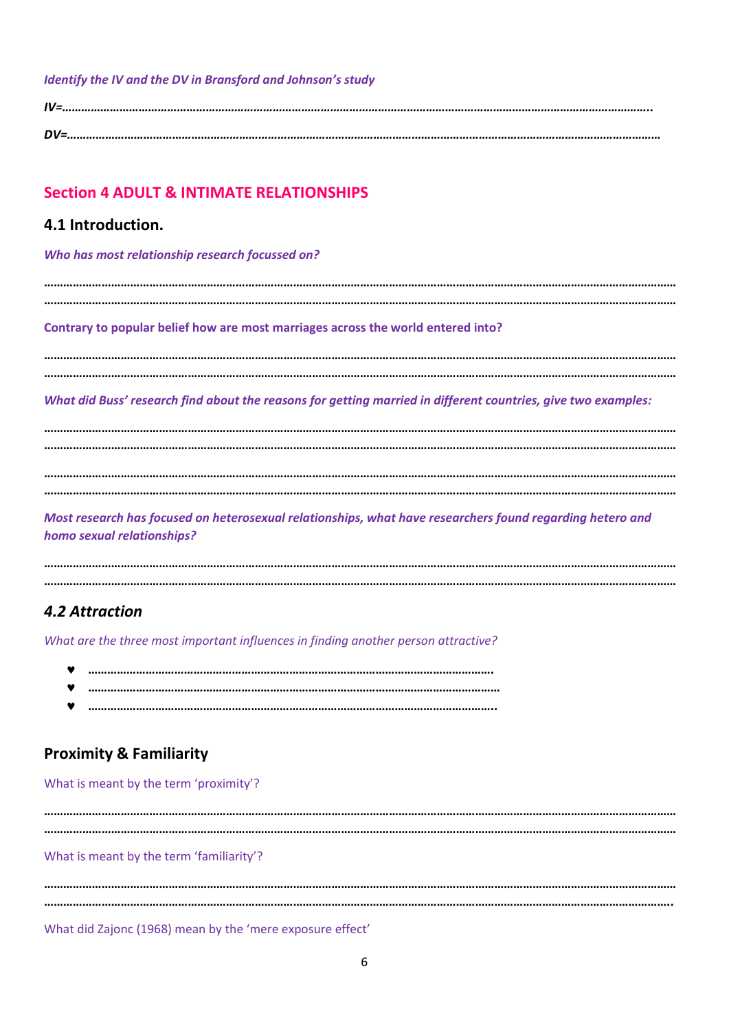### *Identify the IV and the DV in Bransford and Johnson's study*

*IV=………………………………………………………………………………………………………………………………………………………………….. DV=……………………………………………………………………………………………………………………………………………………………………*

### **Section 4 ADULT & INTIMATE RELATIONSHIPS**

### **4.1 Introduction.**

*Who has most relationship research focussed on?*

**……………………………………………………………………………………………………………………………………………………………………………… ………………………………………………………………………………………………………………………………………………………………………………**

**Contrary to popular belief how are most marriages across the world entered into?**

**……………………………………………………………………………………………………………………………………………………………………………… ………………………………………………………………………………………………………………………………………………………………………………**

*What did Buss' research find about the reasons for getting married in different countries, give two examples:*

**……………………………………………………………………………………………………………………………………………………………………………… ……………………………………………………………………………………………………………………………………………………………………………… ……………………………………………………………………………………………………………………………………………………………………………… ………………………………………………………………………………………………………………………………………………………………………………**

*Most research has focused on heterosexual relationships, what have researchers found regarding hetero and homo sexual relationships?*

**……………………………………………………………………………………………………………………………………………………………………………… ………………………………………………………………………………………………………………………………………………………………………………**

### *4.2 Attraction*

*What are the three most important influences in finding another person attractive?*

- **……………………………………………………………………………………………………………….**
- **…………………………………………………………………………………………………………………**
- **………………………………………………………………………………………………………………..**

### **Proximity & Familiarity**

What is meant by the term 'proximity'?

**……………………………………………………………………………………………………………………………………………………………………………… ………………………………………………………………………………………………………………………………………………………………………………**

What is meant by the term 'familiarity'?

**……………………………………………………………………………………………………………………………………………………………………………… ……………………………………………………………………………………………………………………………………………………………………………..**

What did Zajonc (1968) mean by the 'mere exposure effect'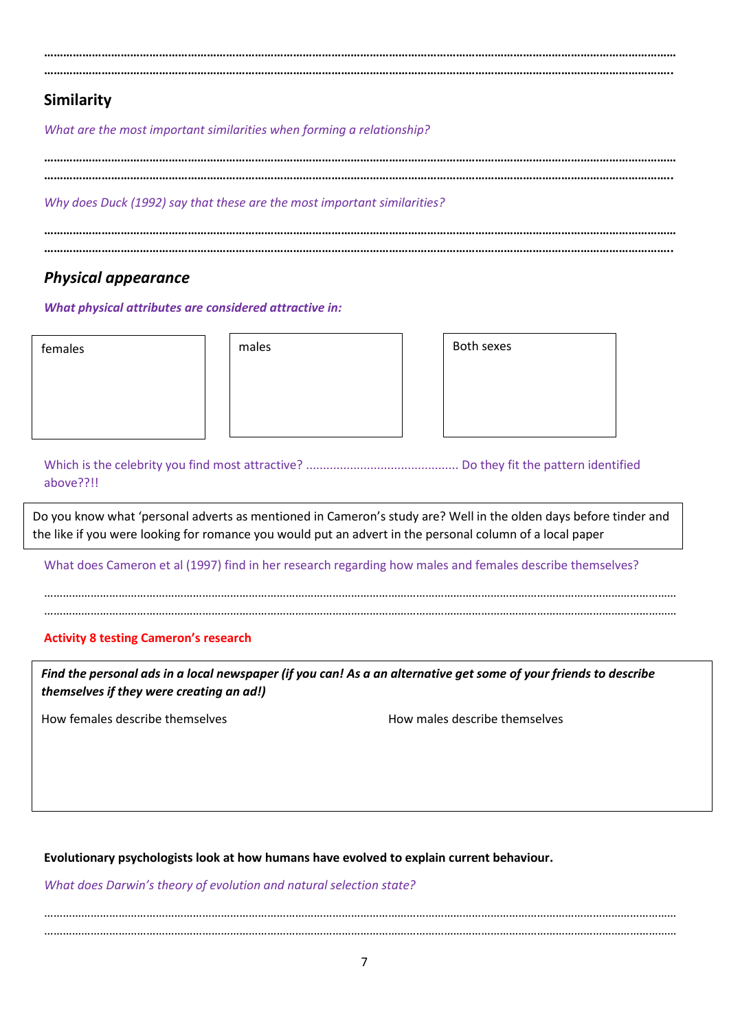**……………………………………………………………………………………………………………………………………………………………………………… ……………………………………………………………………………………………………………………………………………………………………………..**

### **Similarity**

*What are the most important similarities when forming a relationship?*

*Why does Duck (1992) say that these are the most important similarities?*

### *Physical appearance*

*What physical attributes are considered attractive in:*

females and the males are males and the males of the sexes are sexes and the sexes are sexes and the sexes are  $\vert$  and  $\vert$  and  $\vert$  and  $\vert$  and  $\vert$  and  $\vert$  and  $\vert$  and  $\vert$  and  $\vert$  and  $\vert$  and  $\vert$  and  $\vert$  and  $\vert$ 

Which is the celebrity you find most attractive? ............................................. Do they fit the pattern identified above??!!

Do you know what 'personal adverts as mentioned in Cameron's study are? Well in the olden days before tinder and the like if you were looking for romance you would put an advert in the personal column of a local paper

What does Cameron et al (1997) find in her research regarding how males and females describe themselves?

…………………………………………………………………………………………………………………………………………………………………………………… ……………………………………………………………………………………………………………………………………………………………………………………

### **Activity 8 testing Cameron's research**

*Find the personal ads in a local newspaper (if you can! As a an alternative get some of your friends to describe themselves if they were creating an ad!)*

How females describe themselves How males describe themselves

**Evolutionary psychologists look at how humans have evolved to explain current behaviour.**

*What does Darwin's theory of evolution and natural selection state?*

…………………………………………………………………………………………………………………………………………………………………………………… ……………………………………………………………………………………………………………………………………………………………………………………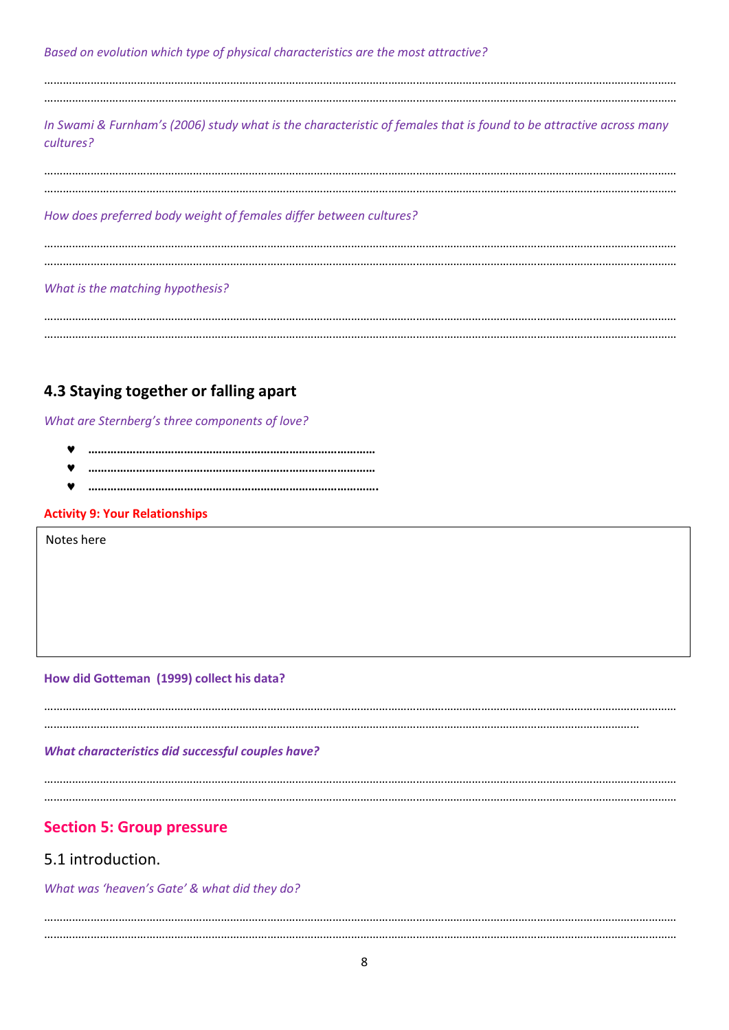*Based on evolution which type of physical characteristics are the most attractive?*

…………………………………………………………………………………………………………………………………………………………………………………… ……………………………………………………………………………………………………………………………………………………………………………………

*In Swami & Furnham's (2006) study what is the characteristic of females that is found to be attractive across many cultures?*

…………………………………………………………………………………………………………………………………………………………………………………… ……………………………………………………………………………………………………………………………………………………………………………………

*How does preferred body weight of females differ between cultures?*

…………………………………………………………………………………………………………………………………………………………………………………… ……………………………………………………………………………………………………………………………………………………………………………………

### *What is the matching hypothesis?*

…………………………………………………………………………………………………………………………………………………………………………………… ……………………………………………………………………………………………………………………………………………………………………………………

### **4.3 Staying together or falling apart**

*What are Sternberg's three components of love?*

- **………………………………………………………………………………**
- **………………………………………………………………………………**
- **……………………………………………………………………………….**

### **Activity 9: Your Relationships**

Notes here

**.**

### **How did Gotteman (1999) collect his data?**

…………………………………………………………………………………………………………………………………………………………………………………… …………………………………………………………………………………………………………………………………………………………………………

*What characteristics did successful couples have?*

……………………………………………………………………………………………………………………………………………………………………………………

……………………………………………………………………………………………………………………………………………………………………………………

### **Section 5: Group pressure**

### 5.1 introduction.

*What was 'heaven's Gate' & what did they do?*

…………………………………………………………………………………………………………………………………………………………………………………… ……………………………………………………………………………………………………………………………………………………………………………………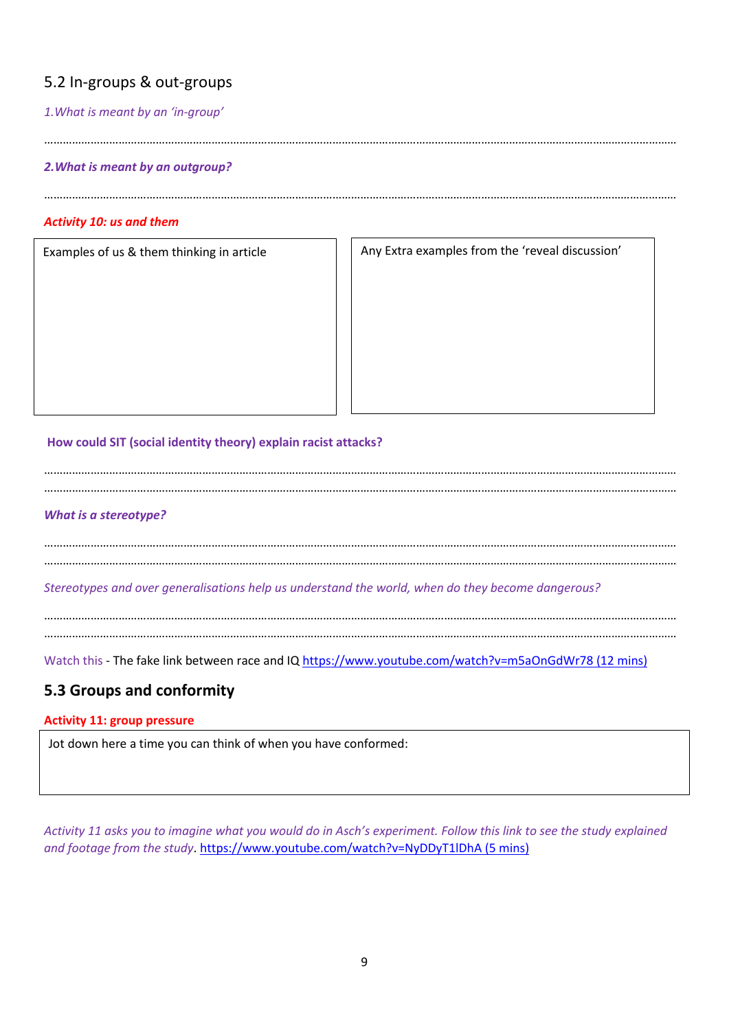### 5.2 In-groups & out-groups

### *1.What is meant by an 'in-group'*

……………………………………………………………………………………………………………………………………………………………………………………

### *2.What is meant by an outgroup?*

### *Activity 10: us and them*

Examples of us & them thinking in article  $\vert \vert$  Any Extra examples from the 'reveal discussion'

……………………………………………………………………………………………………………………………………………………………………………………

### **How could SIT (social identity theory) explain racist attacks?**

…………………………………………………………………………………………………………………………………………………………………………………… ……………………………………………………………………………………………………………………………………………………………………………………

#### *What is a stereotype?*

…………………………………………………………………………………………………………………………………………………………………………………… ……………………………………………………………………………………………………………………………………………………………………………………

*Stereotypes and over generalisations help us understand the world, when do they become dangerous?*

…………………………………………………………………………………………………………………………………………………………………………………… ……………………………………………………………………………………………………………………………………………………………………………………

Watch this - The fake link between race and IQ<https://www.youtube.com/watch?v=m5aOnGdWr78> (12 mins)

### **5.3 Groups and conformity**

#### **Activity 11: group pressure**

Jot down here a time you can think of when you have conformed:

Activity 11 asks you to imagine what you would do in Asch's experiment. Follow this link to see the study explained and footage from the study.<https://www.youtube.com/watch?v=NyDDyT1lDhA> (5 mins)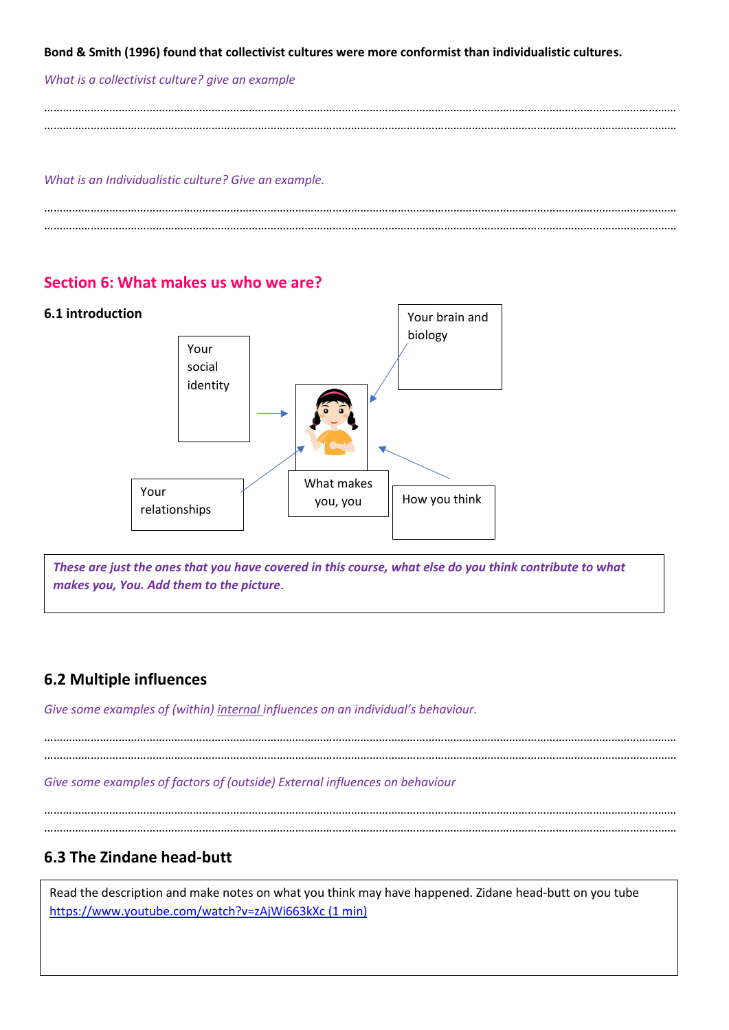**Bond & Smith (1996) found that collectivist cultures were more conformist than individualistic cultures.**

#### *What is a collectivist culture? give an example*

…………………………………………………………………………………………………………………………………………………………………………………… ……………………………………………………………………………………………………………………………………………………………………………………

#### *What is an Individualistic culture? Give an example.*

**Section 6: What makes us who we are?**

…………………………………………………………………………………………………………………………………………………………………………………… ……………………………………………………………………………………………………………………………………………………………………………………

## **6.1 introduction** Your brain and biology Your social identity Your You you you when Your Theory of The Your You are New You think relationships What makes you, you

*These are just the ones that you have covered in this course, what else do you think contribute to what makes you, You. Add them to the picture*.

### **6.2 Multiple influences**

*Give some examples of (within) internal influences on an individual's behaviour.*

…………………………………………………………………………………………………………………………………………………………………………………… ……………………………………………………………………………………………………………………………………………………………………………………

*Give some examples of factors of (outside) External influences on behaviour*

…………………………………………………………………………………………………………………………………………………………………………………… ……………………………………………………………………………………………………………………………………………………………………………………

### **6.3 The Zindane head-butt**

Read the description and make notes on what you think may have happened. Zidane head-butt on you tube <https://www.youtube.com/watch?v=zAjWi663kXc> (1 min)